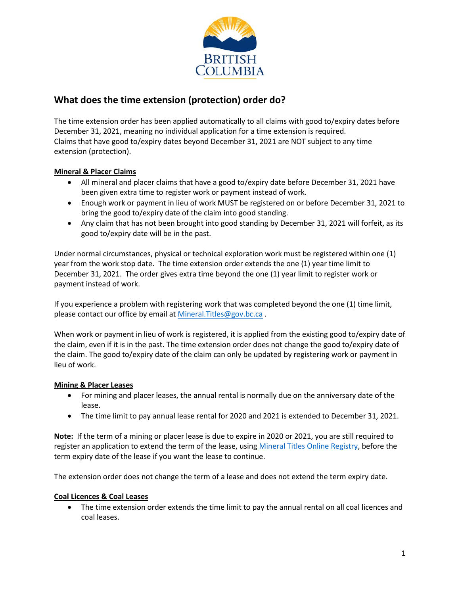

# **What does the time extension (protection) order do?**

The time extension order has been applied automatically to all claims with good to/expiry dates before December 31, 2021, meaning no individual application for a time extension is required. Claims that have good to/expiry dates beyond December 31, 2021 are NOT subject to any time extension (protection).

### **Mineral & Placer Claims**

- All mineral and placer claims that have a good to/expiry date before December 31, 2021 have been given extra time to register work or payment instead of work.
- Enough work or payment in lieu of work MUST be registered on or before December 31, 2021 to bring the good to/expiry date of the claim into good standing.
- Any claim that has not been brought into good standing by December 31, 2021 will forfeit, as its good to/expiry date will be in the past.

Under normal circumstances, physical or technical exploration work must be registered within one (1) year from the work stop date. The time extension order extends the one (1) year time limit to December 31, 2021. The order gives extra time beyond the one (1) year limit to register work or payment instead of work.

If you experience a problem with registering work that was completed beyond the one (1) time limit, please contact our office by email a[t Mineral.Titles@gov.bc.ca](mailto:Mineral.Titles@gov.bc.ca) .

When work or payment in lieu of work is registered, it is applied from the existing good to/expiry date of the claim, even if it is in the past. The time extension order does not change the good to/expiry date of the claim. The good to/expiry date of the claim can only be updated by registering work or payment in lieu of work.

#### **Mining & Placer Leases**

- For mining and placer leases, the annual rental is normally due on the anniversary date of the lease.
- The time limit to pay annual lease rental for 2020 and 2021 is extended to December 31, 2021.

**Note:** If the term of a mining or placer lease is due to expire in 2020 or 2021, you are still required to register an application to extend the term of the lease, using [Mineral Titles Online Registry,](https://www.mtonline.gov.bc.ca/mtov/home.do) before the term expiry date of the lease if you want the lease to continue.

The extension order does not change the term of a lease and does not extend the term expiry date.

#### **Coal Licences & Coal Leases**

• The time extension order extends the time limit to pay the annual rental on all coal licences and coal leases.